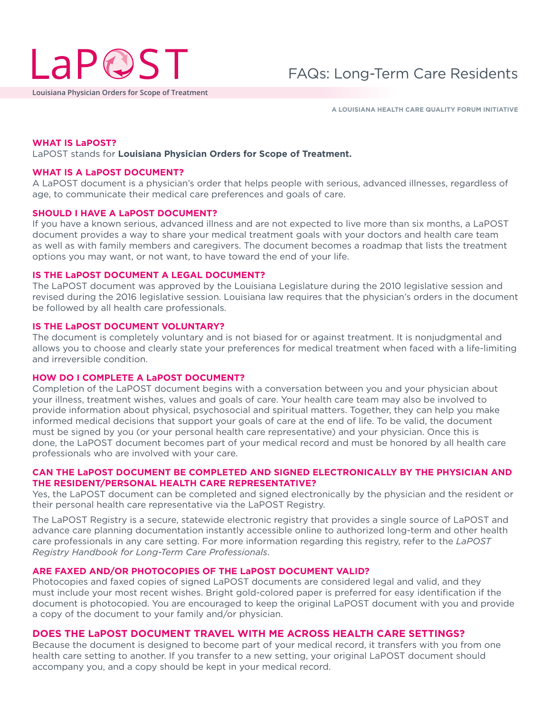

**Louisiana Physician Orders for Scope of Treatment**

**A LOUISIANA HEALTH CARE QUALITY FORUM INITIATIVE**

#### **WHAT IS LaPOST?**

LaPOST stands for **Louisiana Physician Orders for Scope of Treatment.** 

#### **WHAT IS A LaPOST DOCUMENT?**

A LaPOST document is a physician's order that helps people with serious, advanced illnesses, regardless of age, to communicate their medical care preferences and goals of care.

#### **SHOULD I HAVE A LaPOST DOCUMENT?**

If you have a known serious, advanced illness and are not expected to live more than six months, a LaPOST document provides a way to share your medical treatment goals with your doctors and health care team as well as with family members and caregivers. The document becomes a roadmap that lists the treatment options you may want, or not want, to have toward the end of your life.

#### **IS THE LaPOST DOCUMENT A LEGAL DOCUMENT?**

The LaPOST document was approved by the Louisiana Legislature during the 2010 legislative session and revised during the 2016 legislative session. Louisiana law requires that the physician's orders in the document be followed by all health care professionals.

# **IS THE LaPOST DOCUMENT VOLUNTARY?**

The document is completely voluntary and is not biased for or against treatment. It is nonjudgmental and allows you to choose and clearly state your preferences for medical treatment when faced with a life-limiting and irreversible condition.

#### **HOW DO I COMPLETE A LaPOST DOCUMENT?**

Completion of the LaPOST document begins with a conversation between you and your physician about your illness, treatment wishes, values and goals of care. Your health care team may also be involved to provide information about physical, psychosocial and spiritual matters. Together, they can help you make informed medical decisions that support your goals of care at the end of life. To be valid, the document must be signed by you (or your personal health care representative) and your physician. Once this is done, the LaPOST document becomes part of your medical record and must be honored by all health care professionals who are involved with your care.

# **CAN THE LaPOST DOCUMENT BE COMPLETED AND SIGNED ELECTRONICALLY BY THE PHYSICIAN AND THE RESIDENT/PERSONAL HEALTH CARE REPRESENTATIVE?**

Yes, the LaPOST document can be completed and signed electronically by the physician and the resident or their personal health care representative via the LaPOST Registry.

The LaPOST Registry is a secure, statewide electronic registry that provides a single source of LaPOST and advance care planning documentation instantly accessible online to authorized long-term and other health care professionals in any care setting. For more information regarding this registry, refer to the *LaPOST Registry Handbook for Long-Term Care Professionals*.

### **ARE FAXED AND/OR PHOTOCOPIES OF THE LaPOST DOCUMENT VALID?**

Photocopies and faxed copies of signed LaPOST documents are considered legal and valid, and they must include your most recent wishes. Bright gold-colored paper is preferred for easy identification if the document is photocopied. You are encouraged to keep the original LaPOST document with you and provide a copy of the document to your family and/or physician.

# **DOES THE LaPOST DOCUMENT TRAVEL WITH ME ACROSS HEALTH CARE SETTINGS?**

Because the document is designed to become part of your medical record, it transfers with you from one health care setting to another. If you transfer to a new setting, your original LaPOST document should accompany you, and a copy should be kept in your medical record.